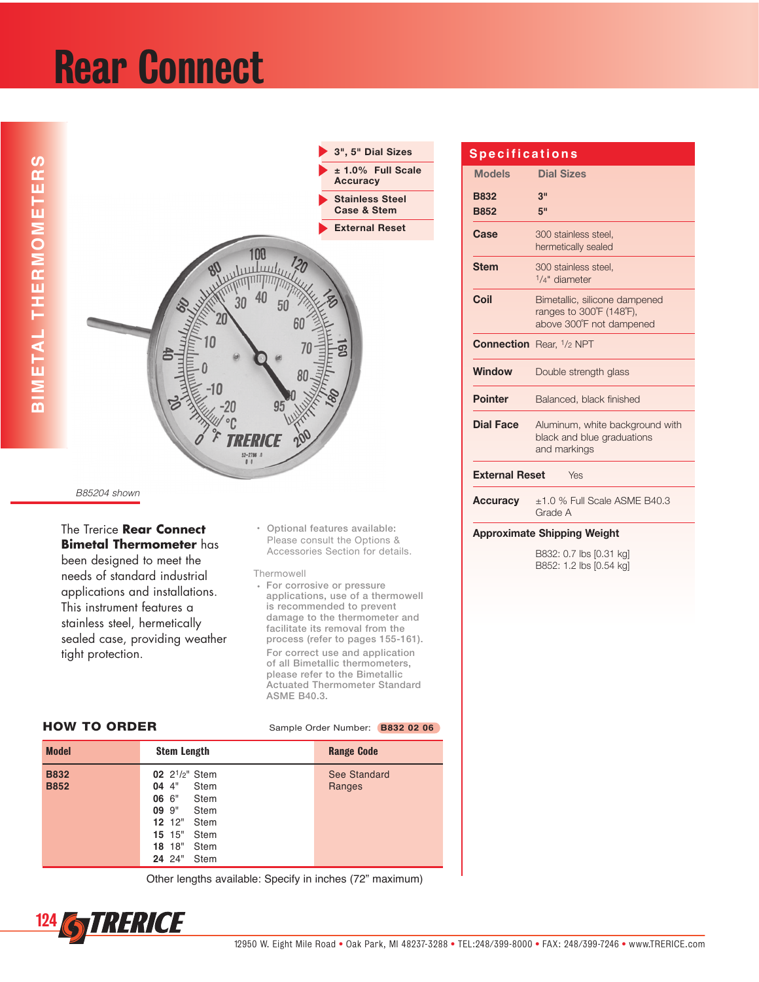## Rear Connect



B85204 shown

The Trerice **Rear Connect Bimetal Thermometer** has been designed to meet the needs of standard industrial applications and installations. This instrument features a stainless steel, hermetically sealed case, providing weather tight protection.

+ Optional features available: Please consult the Options & Accessories Section for details.

Thermowell

**For corrosive or pressure** applications, use of a thermowell is recommended to prevent damage to the thermometer and facilitate its removal from the process (refer to pages 155-161). For correct use and application of all Bimetallic thermometers, please refer to the Bimetallic Actuated Thermometer Standard ASME B40.3.

| <b>Model</b>               | <b>Stem Length</b>                                                                                                                                                            | <b>Range Code</b>      |
|----------------------------|-------------------------------------------------------------------------------------------------------------------------------------------------------------------------------|------------------------|
| <b>B832</b><br><b>B852</b> | 02 2 <sup>1</sup> / <sub>2</sub> " Stem<br>044<br>Stem<br>06 6"<br>Stem<br>09.9"<br>Stem<br><b>12</b> 12" Stem<br>$15 \t15"$<br>Stem<br>$18 \t18$ "<br>Stem<br>24 24"<br>Stem | See Standard<br>Ranges |

HOW TO ORDER Sample Order Number: **B832 02 06** 

Other lengths available: Specify in inches (72" maximum)

### **S p e c i f i c a t i o n s**

| <b>Models</b>                      | <b>Dial Sizes</b>                                                                     |  |  |  |  |
|------------------------------------|---------------------------------------------------------------------------------------|--|--|--|--|
| <b>B832</b><br><b>B852</b>         | 3"<br>5"                                                                              |  |  |  |  |
| Case                               | 300 stainless steel.<br>hermetically sealed                                           |  |  |  |  |
| <b>Stem</b>                        | 300 stainless steel,<br>$1/4"$ diameter                                               |  |  |  |  |
| Coil                               | Bimetallic, silicone dampened<br>ranges to 300°F (148°F),<br>above 300°F not dampened |  |  |  |  |
|                                    | <b>Connection</b> Rear, 1/2 NPT                                                       |  |  |  |  |
| <b>Window</b>                      | Double strength glass                                                                 |  |  |  |  |
| <b>Pointer</b>                     | Balanced, black finished                                                              |  |  |  |  |
| <b>Dial Face</b>                   | Aluminum, white background with<br>black and blue graduations<br>and markings         |  |  |  |  |
| <b>External Reset</b><br>Yes       |                                                                                       |  |  |  |  |
| <b>Accuracy</b>                    | $\pm$ 1.0 % Full Scale ASME B40.3<br>Grade A                                          |  |  |  |  |
| <b>Approximate Shipping Weight</b> |                                                                                       |  |  |  |  |

B832: 0.7 lbs [0.31 kg] B852: 1.2 lbs [0.54 kg]

<sup>124</sup> STRERICE